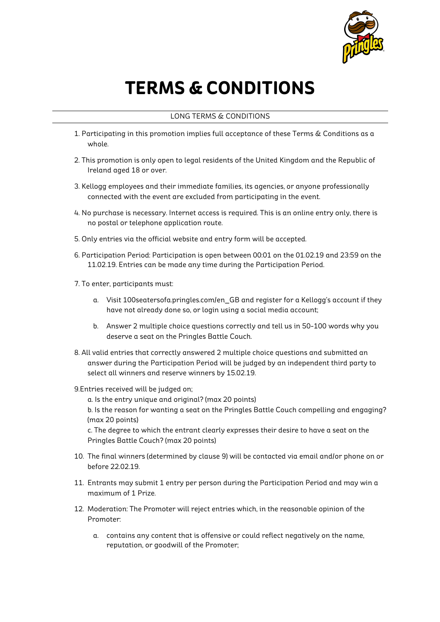

## **TERMS & CONDITIONS**

## LONG TERMS & CONDITIONS

- 1. Participating in this promotion implies full acceptance of these Terms & Conditions as a whole.
- 2. This promotion is only open to legal residents of the United Kingdom and the Republic of Ireland aged 18 or over.
- 3. Kellogg employees and their immediate families, its agencies, or anyone professionally connected with the event are excluded from participating in the event.
- 4. No purchase is necessary. Internet access is required. This is an online entry only, there is no postal or telephone application route.
- 5. Only entries via the official website and entry form will be accepted.
- 6. Participation Period: Participation is open between 00:01 on the 01.02.19 and 23:59 on the 11.02.19. Entries can be made any time during the Participation Period.
- 7. To enter, participants must:
	- a. Visit 100seatersofa.pringles.com/en\_GB and register for a Kellogg's account if they have not already done so, or login using a social media account;
	- b. Answer 2 multiple choice questions correctly and tell us in 50-100 words why you deserve a seat on the Pringles Battle Couch.
- 8. All valid entries that correctly answered 2 multiple choice questions and submitted an answer during the Participation Period will be judged by an independent third party to select all winners and reserve winners by 15.02.19.

9.Entries received will be judged on;

a. Is the entry unique and original? (max 20 points)

b. Is the reason for wanting a seat on the Pringles Battle Couch compelling and engaging? (max 20 points)

c. The degree to which the entrant clearly expresses their desire to have a seat on the Pringles Battle Couch? (max 20 points)

- 10. The final winners (determined by clause 9) will be contacted via email and/or phone on or before 22.02.19.
- 11. Entrants may submit 1 entry per person during the Participation Period and may win a maximum of 1 Prize.
- 12. Moderation: The Promoter will reject entries which, in the reasonable opinion of the Promoter:
	- a. contains any content that is offensive or could reflect negatively on the name, reputation, or goodwill of the Promoter;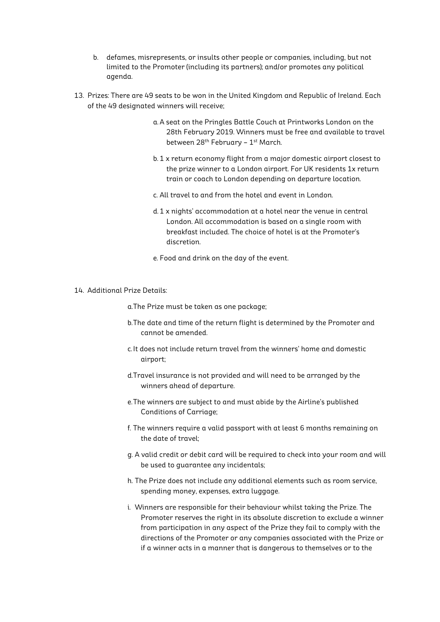- b. defames, misrepresents, or insults other people or companies, including, but not limited to the Promoter (including its partners); and/or promotes any political agenda.
- 13. Prizes: There are 49 seats to be won in the United Kingdom and Republic of Ireland. Each of the 49 designated winners will receive;
	- a. A seat on the Pringles Battle Couch at Printworks London on the 28th February 2019. Winners must be free and available to travel between 28<sup>th</sup> February - 1<sup>st</sup> March.
	- b. 1 x return economy flight from a major domestic airport closest to the prize winner to a London airport. For UK residents 1x return train or coach to London depending on departure location.
	- c. All travel to and from the hotel and event in London.
	- d. 1 x nights' accommodation at a hotel near the venue in central London. All accommodation is based on a single room with breakfast included. The choice of hotel is at the Promoter's discretion.
	- e. Food and drink on the day of the event.
- 14. Additional Prize Details:
	- a.The Prize must be taken as one package;
	- b.The date and time of the return flight is determined by the Promoter and cannot be amended.
	- c.It does not include return travel from the winners' home and domestic airport;
	- d.Travel insurance is not provided and will need to be arranged by the winners ahead of departure.
	- e.The winners are subject to and must abide by the Airline's published Conditions of Carriage;
	- f. The winners require a valid passport with at least 6 months remaining on the date of travel;
	- g. A valid credit or debit card will be required to check into your room and will be used to guarantee any incidentals;
	- h. The Prize does not include any additional elements such as room service, spending money, expenses, extra luggage.
	- i. Winners are responsible for their behaviour whilst taking the Prize. The Promoter reserves the right in its absolute discretion to exclude a winner from participation in any aspect of the Prize they fail to comply with the directions of the Promoter or any companies associated with the Prize or if a winner acts in a manner that is dangerous to themselves or to the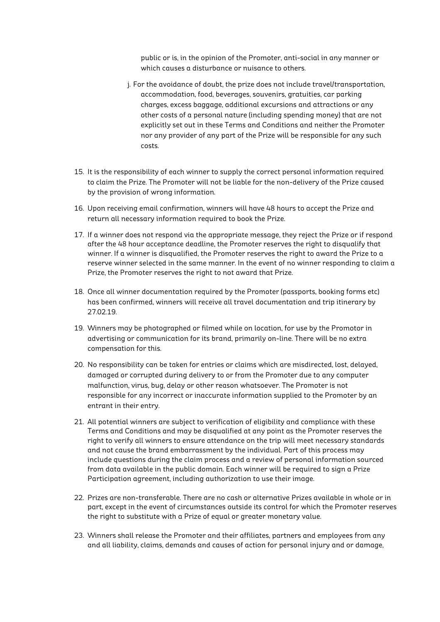public or is, in the opinion of the Promoter, anti-social in any manner or which causes a disturbance or nuisance to others.

- j. For the avoidance of doubt, the prize does not include travel/transportation, accommodation, food, beverages, souvenirs, gratuities, car parking charges, excess baggage, additional excursions and attractions or any other costs of a personal nature (including spending money) that are not explicitly set out in these Terms and Conditions and neither the Promoter nor any provider of any part of the Prize will be responsible for any such costs.
- 15. It is the responsibility of each winner to supply the correct personal information required to claim the Prize. The Promoter will not be liable for the non-delivery of the Prize caused by the provision of wrong information.
- 16. Upon receiving email confirmation, winners will have 48 hours to accept the Prize and return all necessary information required to book the Prize.
- 17. If a winner does not respond via the appropriate message, they reject the Prize or if respond after the 48 hour acceptance deadline, the Promoter reserves the right to disqualify that winner. If a winner is disqualified, the Promoter reserves the right to award the Prize to a reserve winner selected in the same manner. In the event of no winner responding to claim a Prize, the Promoter reserves the right to not award that Prize.
- 18. Once all winner documentation required by the Promoter (passports, booking forms etc) has been confirmed, winners will receive all travel documentation and trip itinerary by 27.02.19.
- 19. Winners may be photographed or filmed while on location, for use by the Promotor in advertising or communication for its brand, primarily on-line. There will be no extra compensation for this.
- 20. No responsibility can be taken for entries or claims which are misdirected, lost, delayed, damaged or corrupted during delivery to or from the Promoter due to any computer malfunction, virus, bug, delay or other reason whatsoever. The Promoter is not responsible for any incorrect or inaccurate information supplied to the Promoter by an entrant in their entry.
- 21. All potential winners are subject to verification of eligibility and compliance with these Terms and Conditions and may be disqualified at any point as the Promoter reserves the right to verify all winners to ensure attendance on the trip will meet necessary standards and not cause the brand embarrassment by the individual. Part of this process may include questions during the claim process and a review of personal information sourced from data available in the public domain. Each winner will be required to sign a Prize Participation agreement, including authorization to use their image.
- 22. Prizes are non-transferable. There are no cash or alternative Prizes available in whole or in part, except in the event of circumstances outside its control for which the Promoter reserves the right to substitute with a Prize of equal or greater monetary value.
- 23. Winners shall release the Promoter and their affiliates, partners and employees from any and all liability, claims, demands and causes of action for personal injury and or damage,